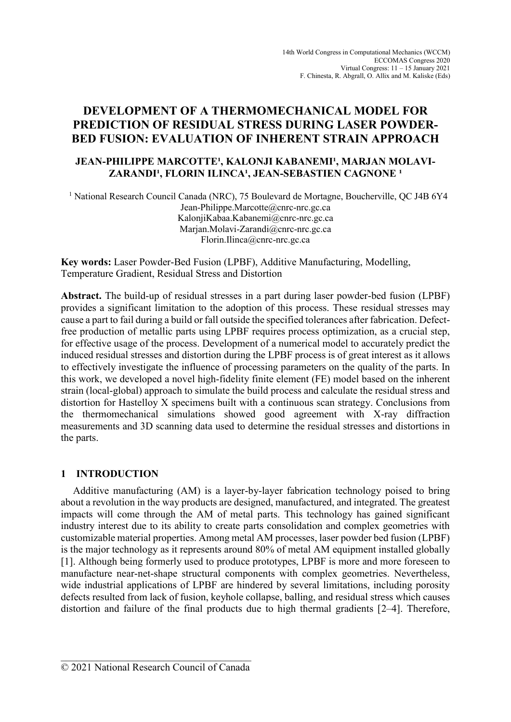# **DEVELOPMENT OF A THERMOMECHANICAL MODEL FOR PREDICTION OF RESIDUAL STRESS DURING LASER POWDER-BED FUSION: EVALUATION OF INHERENT STRAIN APPROACH**

### JEAN-PHILIPPE MARCOTTE<sup>1</sup>, KALONJI KABANEMI<sup>1</sup>, MARJAN MOLAVI-ZARANDI<sup>1</sup>, FLORIN ILINCA<sup>1</sup>, JEAN-SEBASTIEN CAGNONE<sup>1</sup>

<sup>1</sup> National Research Council Canada (NRC), 75 Boulevard de Mortagne, Boucherville, QC J4B 6Y4 Jean-Philippe.Marcotte@cnrc-nrc.gc.ca KalonjiKabaa.Kabanemi@cnrc-nrc.gc.ca Marjan.Molavi-Zarandi@cnrc-nrc.gc.ca Florin.Ilinca@cnrc-nrc.gc.ca

**Key words:** Laser Powder-Bed Fusion (LPBF), Additive Manufacturing, Modelling, Temperature Gradient, Residual Stress and Distortion

**Abstract.** The build-up of residual stresses in a part during laser powder-bed fusion (LPBF) provides a significant limitation to the adoption of this process. These residual stresses may cause a part to fail during a build or fall outside the specified tolerances after fabrication. Defectfree production of metallic parts using LPBF requires process optimization, as a crucial step, for effective usage of the process. Development of a numerical model to accurately predict the induced residual stresses and distortion during the LPBF process is of great interest as it allows to effectively investigate the influence of processing parameters on the quality of the parts. In this work, we developed a novel high-fidelity finite element (FE) model based on the inherent strain (local-global) approach to simulate the build process and calculate the residual stress and distortion for Hastelloy X specimens built with a continuous scan strategy. Conclusions from the thermomechanical simulations showed good agreement with X-ray diffraction measurements and 3D scanning data used to determine the residual stresses and distortions in the parts.

## **1 INTRODUCTION**

Additive manufacturing (AM) is a layer-by-layer fabrication technology poised to bring about a revolution in the way products are designed, manufactured, and integrated. The greatest impacts will come through the AM of metal parts. This technology has gained significant industry interest due to its ability to create parts consolidation and complex geometries with customizable material properties. Among metal AM processes, laser powder bed fusion (LPBF) is the major technology as it represents around 80% of metal AM equipment installed globally [1]. Although being formerly used to produce prototypes, LPBF is more and more foreseen to manufacture near-net-shape structural components with complex geometries. Nevertheless, wide industrial applications of LPBF are hindered by several limitations, including porosity defects resulted from lack of fusion, keyhole collapse, balling, and residual stress which causes distortion and failure of the final products due to high thermal gradients [2–4]. Therefore,

 $\_$ © 2021 National Research Council of Canada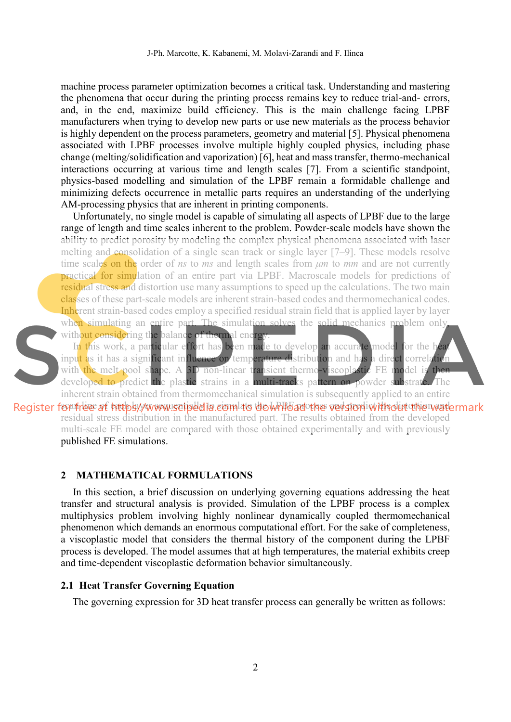machine process parameter optimization becomes a critical task. Understanding and mastering the phenomena that occur during the printing process remains key to reduce trial-and- errors, and, in the end, maximize build efficiency. This is the main challenge facing LPBF manufacturers when trying to develop new parts or use new materials as the process behavior is highly dependent on the process parameters, geometry and material [5]. Physical phenomena associated with LPBF processes involve multiple highly coupled physics, including phase change (melting/solidification and vaporization) [6], heat and mass transfer, thermo-mechanical interactions occurring at various time and length scales [7]. From a scientific standpoint, physics-based modelling and simulation of the LPBF remain a formidable challenge and minimizing defects occurrence in metallic parts requires an understanding of the underlying AM-processing physics that are inherent in printing components.

Unfortunately, no single model is capable of simulating all aspects of LPBF due to the large range of length and time scales inherent to the problem. Powder-scale models have shown the ability to predict porosity by modeling the complex physical phenomena associated with laser melting and consolidation of a single scan track or single layer [7–9]. These models resolve time scales on the order of *ns* to *ms* and length scales from *μm* to *mm* and are not currently practical for simulation of an entire part via LPBF. Macroscale models for predictions of residual stress and distortion use many assumptions to speed up the calculations. The two main classes of these part-scale models are inherent strain-based codes and thermomechanical codes. Inherent strain-based codes employ a specified residual strain field that is applied layer by layer when simulating an entire part. The simulation solves the solid mechanics problem only, without considering the balance of thermal energy



In this work, a particular effort has been made to develop an accurate model for the hea input as it has a significant influence on temperature distribution and has a direct correlation with the melt pool shape. A  $3D$  non-linear transient thermo-viscoplastic FE model is developed to predict the plastic strains in a multi-tracks pattern on powder substrate. The inherent strain obtained from thermomechanical simulation is subsequently applied to an entire

Register for frie of https://www.scipedia.com to do Whichad the version with out the watermark residual stress distribution in the manufactured part. The results obtained from the developed multi-scale FE model are compared with those obtained experimentally and with previously published FE simulations.

### **2 MATHEMATICAL FORMULATIONS**

In this section, a brief discussion on underlying governing equations addressing the heat transfer and structural analysis is provided. Simulation of the LPBF process is a complex multiphysics problem involving highly nonlinear dynamically coupled thermomechanical phenomenon which demands an enormous computational effort. For the sake of completeness, a viscoplastic model that considers the thermal history of the component during the LPBF process is developed. The model assumes that at high temperatures, the material exhibits creep and time-dependent viscoplastic deformation behavior simultaneously.

#### **2.1 Heat Transfer Governing Equation**

The governing expression for 3D heat transfer process can generally be written as follows: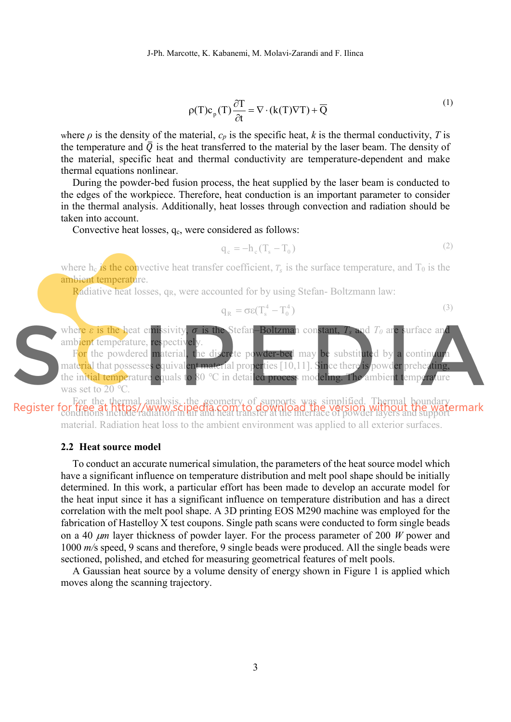$$
\rho(T)c_p(T)\frac{\partial T}{\partial t} = \nabla \cdot (k(T)\nabla T) + \overline{Q}
$$
\n(1)

where  $\rho$  is the density of the material,  $c_p$  is the specific heat,  $k$  is the thermal conductivity,  $T$  is the temperature and  $\overline{Q}$  is the heat transferred to the material by the laser beam. The density of the material, specific heat and thermal conductivity are temperature-dependent and make thermal equations nonlinear.

During the powder-bed fusion process, the heat supplied by the laser beam is conducted to the edges of the workpiece. Therefore, heat conduction is an important parameter to consider in the thermal analysis. Additionally, heat losses through convection and radiation should be taken into account.

Convective heat losses,  $q_c$ , were considered as follows:

$$
q_c = -h_c (T_s - T_0) \tag{2}
$$

where h<sub>c</sub> is the convective heat transfer coefficient,  $T_s$  is the surface temperature, and  $T_0$  is the ambient temperature.

Radiative heat losses, q<sub>R</sub>, were accounted for by using Stefan-Boltzmann law:

$$
q_R = \sigma \varepsilon (T_s^4 - T_0^4) \tag{3}
$$



For the thermal analysis, the geometry of supports was simplified. Thermal boundary conditions include radiation in air and heat transfer at the interface of powder layers and support material. Radiation heat loss to the ambient environment was applied to all exterior surfaces.

#### **2.2 Heat source model**

To conduct an accurate numerical simulation, the parameters of the heat source model which have a significant influence on temperature distribution and melt pool shape should be initially determined. In this work, a particular effort has been made to develop an accurate model for the heat input since it has a significant influence on temperature distribution and has a direct correlation with the melt pool shape. A 3D printing EOS M290 machine was employed for the fabrication of Hastelloy X test coupons. Single path scans were conducted to form single beads on a 40  $\mu$ m layer thickness of powder layer. For the process parameter of 200 *W* power and 1000 *m/*s speed, 9 scans and therefore, 9 single beads were produced. All the single beads were sectioned, polished, and etched for measuring geometrical features of melt pools.

A Gaussian heat source by a volume density of energy shown in Figure 1 is applied which moves along the scanning trajectory.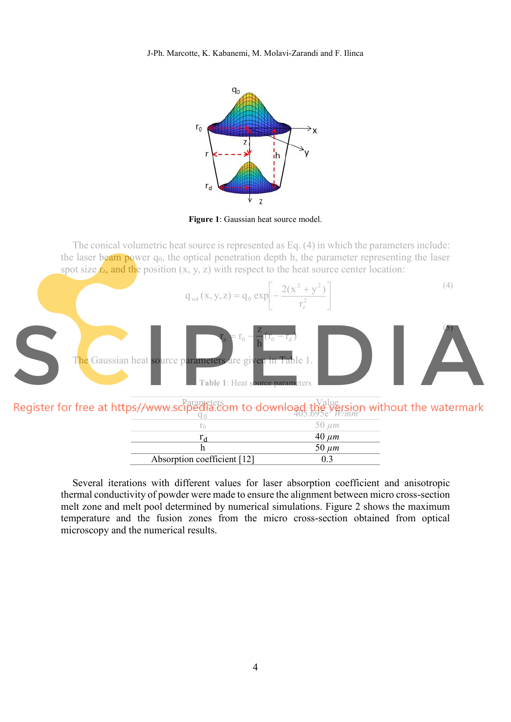

**Figure 1**: Gaussian heat source model.

The conical volumetric heat source is represented as Eq. (4) in which the parameters include: the laser beam power  $q_0$ , the optical penetration depth h, the parameter representing the laser spot size  $r_z$ , and the position  $(x, y, z)$  with respect to the heat source center location:



Parameters<br>**Parameters** m to download the Value

| $\frac{1}{100}$ www.scipedia.com to download, $\frac{1}{105.695}$ W/mm <sup>3</sup> |               |
|-------------------------------------------------------------------------------------|---------------|
|                                                                                     | $50 \; \mu m$ |
|                                                                                     | $40 \mu m$    |
|                                                                                     | 50 $\mu$ m    |
| Absorption coefficient [12]                                                         |               |

Several iterations with different values for laser absorption coefficient and anisotropic thermal conductivity of powder were made to ensure the alignment between micro cross-section melt zone and melt pool determined by numerical simulations. Figure 2 shows the maximum temperature and the fusion zones from the micro cross-section obtained from optical microscopy and the numerical results.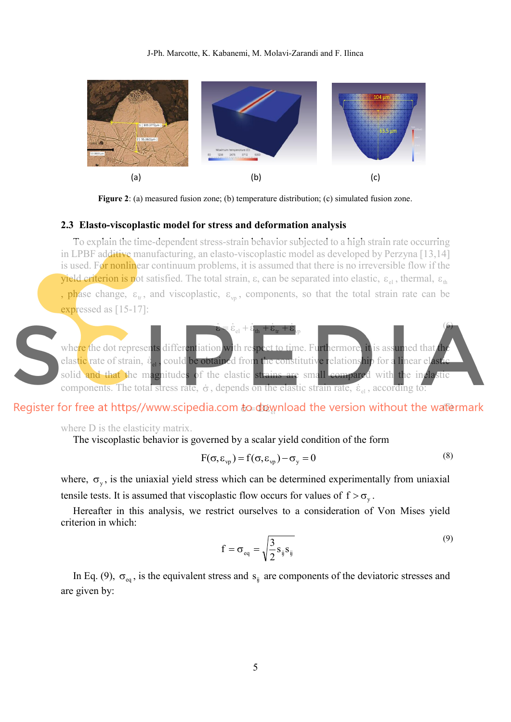

**Figure 2**: (a) measured fusion zone; (b) temperature distribution; (c) simulated fusion zone.

#### **2.3 Elasto-viscoplastic model for stress and deformation analysis**

To explain the time-dependent stress-strain behavior subjected to a high strain rate occurring in LPBF additive manufacturing, an elasto-viscoplastic model as developed by Perzyna [13,14] is used. For nonlinear continuum problems, it is assumed that there is no irreversible flow if the **yield criterion is not satisfied.** The total strain,  $\varepsilon$ , can be separated into elastic,  $\varepsilon_{\rm al}$ , thermal,  $\varepsilon_{\rm th}$ , phase change,  $\varepsilon_{rr}$ , and viscoplastic,  $\varepsilon_{vr}$ , components, so that the total strain rate can be expressed as [15-17]:



# $\mathsf{to}\text{-}\mathsf{d}$ യ്യുnload the version without the wat&

where D is the elasticity matrix.

The viscoplastic behavior is governed by a scalar yield condition of the form

$$
F(\sigma, \varepsilon_{vp}) = f(\sigma, \varepsilon_{vp}) - \sigma_y = 0
$$
\n(8)

where,  $\sigma_y$ , is the uniaxial yield stress which can be determined experimentally from uniaxial tensile tests. It is assumed that viscoplastic flow occurs for values of  $f > \sigma_y$ .

Hereafter in this analysis, we restrict ourselves to a consideration of Von Mises yield criterion in which:

$$
f = \sigma_{\text{eq}} = \sqrt{\frac{3}{2} s_{ij} s_{ij}}
$$
\n(9)

In Eq. (9),  $\sigma_{eq}$ , is the equivalent stress and  $s_{ij}$  are components of the deviatoric stresses and are given by: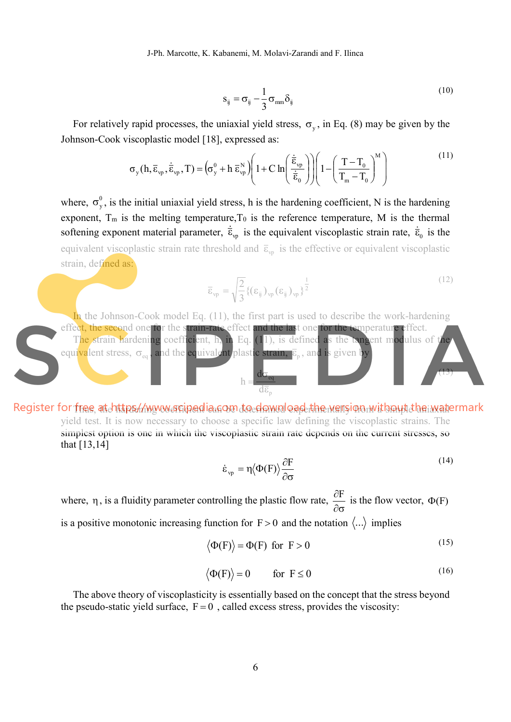J-Ph. Marcotte, K. Kabanemi, M. Molavi-Zarandi and F. Ilinca

$$
S_{ij} = \sigma_{ij} - \frac{1}{3} \sigma_{mm} \delta_{ij}
$$
 (10)

For relatively rapid processes, the uniaxial yield stress,  $\sigma_y$ , in Eq. (8) may be given by the Johnson-Cook viscoplastic model [18], expressed as:

$$
\sigma_{y}(h, \bar{\varepsilon}_{vp}, \dot{\bar{\varepsilon}}_{vp}, T) = \left(\sigma_{y}^{0} + h \, \bar{\varepsilon}_{vp}^{N}\right) \left(1 + C \ln\left(\frac{\dot{\bar{\varepsilon}}_{vp}}{\dot{\bar{\varepsilon}}_{0}}\right)\right) \left(1 - \left(\frac{T - T_{0}}{T_{m} - T_{0}}\right)^{M}\right)
$$
\n<sup>(11)</sup>

where,  $\sigma_y^0$ , is the initial uniaxial yield stress, h is the hardening coefficient, N is the hardening exponent,  $T_m$  is the melting temperature,  $T_0$  is the reference temperature, M is the thermal softening exponent material parameter,  $\dot{\vec{\epsilon}}_{vp}$  is the equivalent viscoplastic strain rate,  $\dot{\vec{\epsilon}}_0$  is the equivalent viscoplastic strain rate threshold and  $\bar{\epsilon}_{v}$  is the effective or equivalent viscoplastic strain, defined as:

$$
\overline{\varepsilon}_{vp} = \sqrt{\frac{2}{3}} \{ (\varepsilon_{ij})_{vp} (\varepsilon_{ij})_{vp} \}^{\frac{1}{2}}
$$
 (12)

In the Johnson-Cook model Eq. (11), the first part is used to describe the work-hardening effect, the second one for the strain-rate effect and the last one for the temperature effect. The strain hardening coefficient, h, in Eq. (11), is defined as the tangent modulus of the equivalent stress,  $\sigma_{\text{eq}}$ , and the equivalent plastic strain,  $\overline{\epsilon}_{\text{p}}$  , and is given by p eq d d h  $\overline{\overline{\varepsilon}}$ b  $\Rightarrow$  $(13)$ 

Register for free at https://www.scipedia.gom.do.download-the wersion without the watermark yield test. It is now necessary to choose a specific law defining the viscoplastic strains. The simplest option is one in which the viscoplastic strain rate depends on the current stresses, so that [13,14]

$$
\dot{\varepsilon}_{vp} = \eta \langle \Phi(\mathbf{F}) \rangle \frac{\partial \mathbf{F}}{\partial \sigma} \tag{14}
$$

where,  $\eta$ , is a fluidity parameter controlling the plastic flow rate,  $\partial \sigma$  $\frac{\partial F}{\partial \rho}$  is the flow vector,  $\Phi(F)$ is a positive monotonic increasing function for  $F > 0$  and the notation  $\langle ... \rangle$  implies

$$
\langle \Phi(\mathbf{F}) \rangle = \Phi(\mathbf{F}) \text{ for } \mathbf{F} > 0 \tag{15}
$$

$$
\langle \Phi(\mathbf{F}) \rangle = 0 \qquad \text{for } \mathbf{F} \le 0 \tag{16}
$$

The above theory of viscoplasticity is essentially based on the concept that the stress beyond the pseudo-static yield surface,  $F = 0$ , called excess stress, provides the viscosity: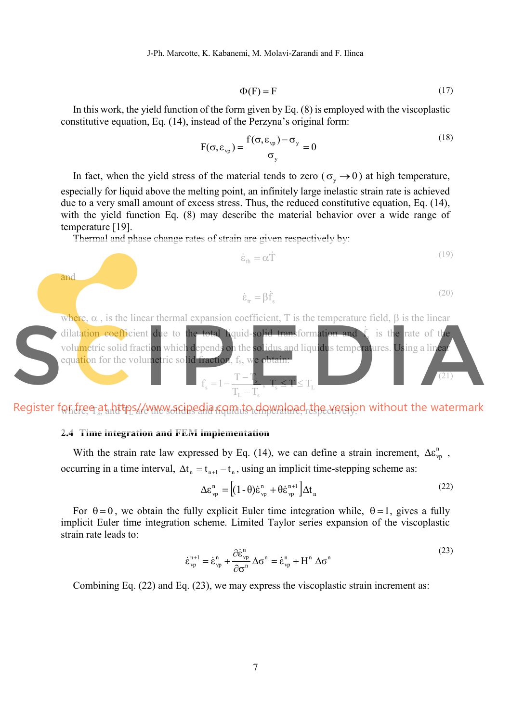J-Ph. Marcotte, K. Kabanemi, M. Molavi-Zarandi and F. Ilinca

$$
\Phi(\mathbf{F}) = \mathbf{F} \tag{17}
$$

In this work, the yield function of the form given by Eq. (8) is employed with the viscoplastic constitutive equation, Eq. (14), instead of the Perzyna's original form:

$$
F(\sigma, \varepsilon_{vp}) = \frac{f(\sigma, \varepsilon_{vp}) - \sigma_y}{\sigma_y} = 0
$$
\n(18)

In fact, when the yield stress of the material tends to zero ( $\sigma_v \rightarrow 0$ ) at high temperature, especially for liquid above the melting point, an infinitely large inelastic strain rate is achieved due to a very small amount of excess stress. Thus, the reduced constitutive equation, Eq. (14), with the yield function Eq. (8) may describe the material behavior over a wide range of temperature [19].

Thermal and phase change rates of strain are given respectively by:

$$
\dot{\varepsilon}_{\text{th}} = \alpha \dot{\Gamma} \tag{19}
$$

$$
\dot{\varepsilon}_{tr} = \beta \dot{f}_s \tag{20}
$$



Register for free at https//www.sripedia.com to download the version without the watermark

#### **2.4 Time integration and FEM implementation**

and

With the strain rate law expressed by Eq. (14), we can define a strain increment,  $\Delta \varepsilon_{vp}^{n}$ , occurring in a time interval,  $\Delta t_n = t_{n+1} - t_n$ , using an implicit time-stepping scheme as:

$$
\Delta \varepsilon_{vp}^{n} = \left[ (1 - \theta) \dot{\varepsilon}_{vp}^{n} + \theta \dot{\varepsilon}_{vp}^{n+1} \right] \Delta t_{n}
$$
\n(22)

For  $\theta = 0$ , we obtain the fully explicit Euler time integration while,  $\theta = 1$ , gives a fully implicit Euler time integration scheme. Limited Taylor series expansion of the viscoplastic strain rate leads to:

$$
\dot{\varepsilon}_{vp}^{n+1} = \dot{\varepsilon}_{vp}^{n} + \frac{\partial \dot{\varepsilon}_{vp}^{n}}{\partial \sigma^{n}} \Delta \sigma^{n} = \dot{\varepsilon}_{vp}^{n} + H^{n} \Delta \sigma^{n}
$$
\n(23)

Combining Eq. (22) and Eq. (23), we may express the viscoplastic strain increment as: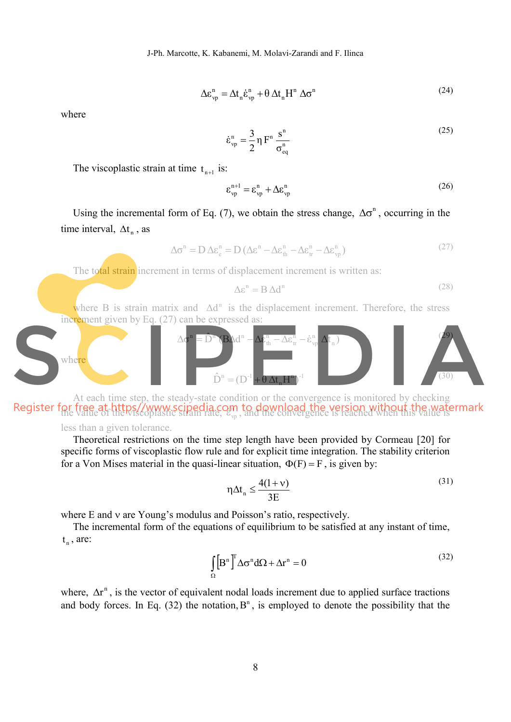$$
\Delta \varepsilon_{vp}^{n} = \Delta t_{n} \dot{\varepsilon}_{vp}^{n} + \theta \Delta t_{n} H^{n} \Delta \sigma^{n}
$$
\n(24)

where

n eq  $n = \frac{3}{2} n F^{n} \frac{s^{n}}{s}$  $v_p$  – 2<sup>'1</sup>  $\sigma$  $\eta F^n \stackrel{S}{-}$ 2  $\dot{\varepsilon}^{\rm n}_{\rm vp} = \frac{3}{2}$ (25)

The viscoplastic strain at time  $t_{n+1}$  is:

$$
\varepsilon_{vp}^{n+1} = \varepsilon_{vp}^n + \Delta \varepsilon_{vp}^n \tag{26}
$$

Using the incremental form of Eq. (7), we obtain the stress change,  $\Delta \sigma^n$ , occurring in the time interval,  $\Delta t_n$ , as

$$
\Delta \sigma^n = D \Delta \varepsilon_e^n = D (\Delta \varepsilon^n - \Delta \varepsilon_h^n - \Delta \varepsilon_{tr}^n - \Delta \varepsilon_{vp}^n)
$$
\n(27)

The total strain increment in terms of displacement increment is written as:

$$
\Delta \varepsilon^{n} = B \, \Delta d^{n} \tag{28}
$$

where B is strain matrix and  $\Delta d^n$  is the displacement increment. Therefore, the stress increment given by Eq. (27) can be expressed as:



At each time step, the steady-state condition or the convergence is monitored by checking of thee district by www.scipedia.com to download the version without the water the convergence is reached when this value is

less than a given tolerance.

Theoretical restrictions on the time step length have been provided by Cormeau [20] for specific forms of viscoplastic flow rule and for explicit time integration. The stability criterion for a Von Mises material in the quasi-linear situation,  $\Phi(F) = F$ , is given by:

$$
\eta \Delta t_n \le \frac{4(1+\nu)}{3E} \tag{31}
$$

where  $E$  and  $v$  are Young's modulus and Poisson's ratio, respectively.

The incremental form of the equations of equilibrium to be satisfied at any instant of time,  $t_{n}$ , are:

$$
\int_{\Omega} \left[ B^n \right]^T \Delta \sigma^n d\Omega + \Delta r^n = 0 \tag{32}
$$

where,  $\Delta r^n$ , is the vector of equivalent nodal loads increment due to applied surface tractions and body forces. In Eq. (32) the notation,  $B<sup>n</sup>$ , is employed to denote the possibility that the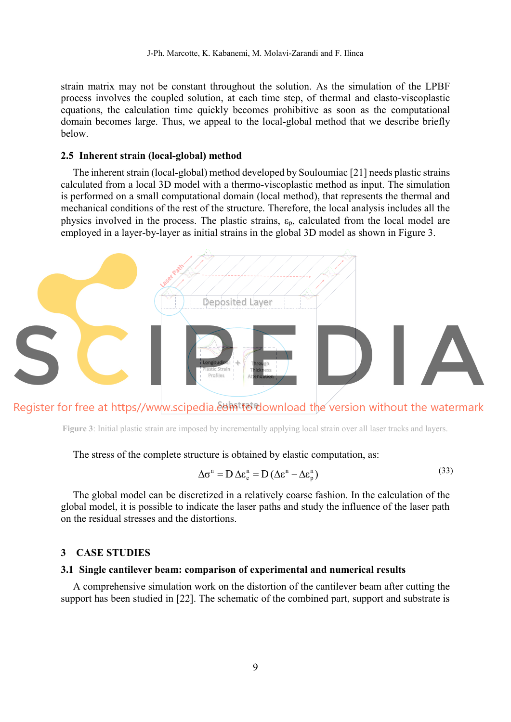strain matrix may not be constant throughout the solution. As the simulation of the LPBF process involves the coupled solution, at each time step, of thermal and elasto-viscoplastic equations, the calculation time quickly becomes prohibitive as soon as the computational domain becomes large. Thus, we appeal to the local-global method that we describe briefly below.

#### **2.5 Inherent strain (local-global) method**

The inherent strain (local-global) method developed by Souloumiac [21] needs plastic strains calculated from a local 3D model with a thermo-viscoplastic method as input. The simulation is performed on a small computational domain (local method), that represents the thermal and mechanical conditions of the rest of the structure. Therefore, the local analysis includes all the physics involved in the process. The plastic strains,  $\varepsilon_p$ , calculated from the local model are employed in a layer-by-layer as initial strains in the global 3D model as shown in Figure 3.



Register for free at https//www.scipedia.&bhittedownload the version without the watermark

**Figure 3**: Initial plastic strain are imposed by incrementally applying local strain over all laser tracks and layers.

The stress of the complete structure is obtained by elastic computation, as:

$$
\Delta \sigma^{n} = D \Delta \varepsilon_{e}^{n} = D (\Delta \varepsilon^{n} - \Delta \varepsilon_{p}^{n})
$$
\n(33)

The global model can be discretized in a relatively coarse fashion. In the calculation of the global model, it is possible to indicate the laser paths and study the influence of the laser path on the residual stresses and the distortions.

### **3 CASE STUDIES**

#### **3.1 Single cantilever beam: comparison of experimental and numerical results**

A comprehensive simulation work on the distortion of the cantilever beam after cutting the support has been studied in [22]. The schematic of the combined part, support and substrate is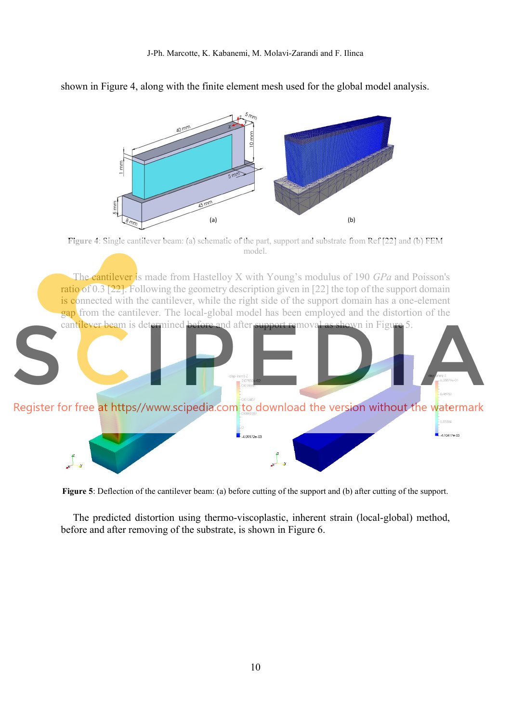

shown in Figure 4, along with the finite element mesh used for the global model analysis.

**Figure 5**: Deflection of the cantilever beam: (a) before cutting of the support and (b) after cutting of the support.

The predicted distortion using thermo-viscoplastic, inherent strain (local-global) method, before and after removing of the substrate, is shown in Figure 6.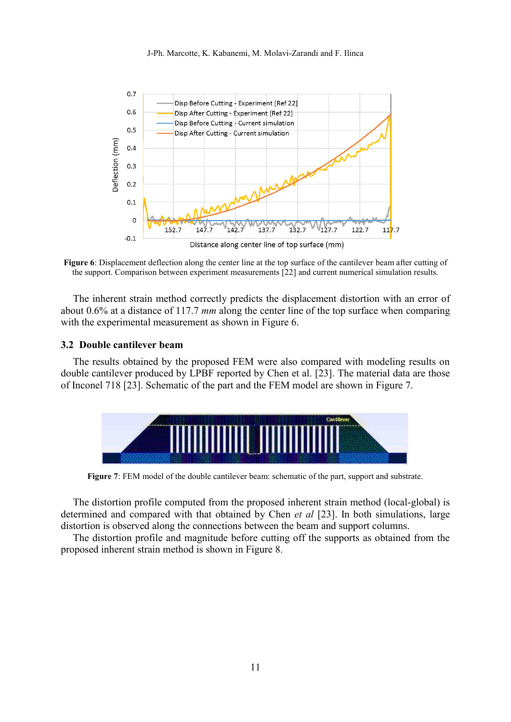

**Figure 6**: Displacement deflection along the center line at the top surface of the cantilever beam after cutting of the support. Comparison between experiment measurements [22] and current numerical simulation results.

The inherent strain method correctly predicts the displacement distortion with an error of about 0.6% at a distance of 117.7 *mm* along the center line of the top surface when comparing with the experimental measurement as shown in Figure 6.

#### **3.2 Double cantilever beam**

The results obtained by the proposed FEM were also compared with modeling results on double cantilever produced by LPBF reported by Chen et al. [23]. The material data are those of Inconel 718 [23]. Schematic of the part and the FEM model are shown in Figure 7.



**Figure 7**: FEM model of the double cantilever beam: schematic of the part, support and substrate.

The distortion profile computed from the proposed inherent strain method (local-global) is determined and compared with that obtained by Chen *et al* [23]. In both simulations, large distortion is observed along the connections between the beam and support columns.

The distortion profile and magnitude before cutting off the supports as obtained from the proposed inherent strain method is shown in Figure 8.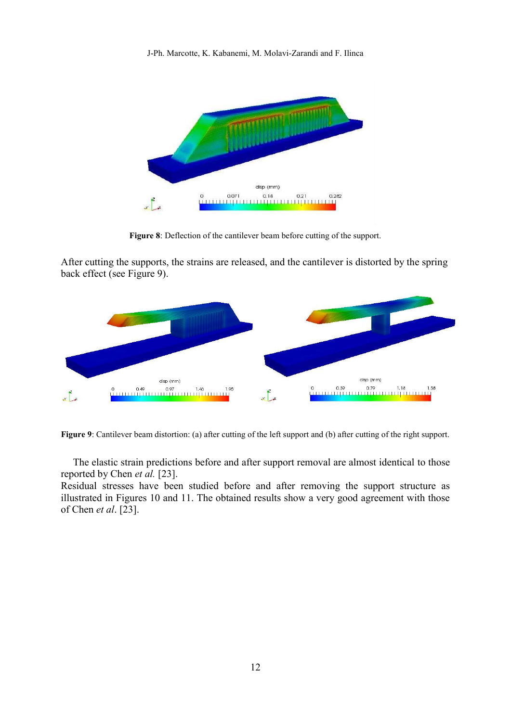

**Figure 8**: Deflection of the cantilever beam before cutting of the support.

After cutting the supports, the strains are released, and the cantilever is distorted by the spring back effect (see Figure 9).



**Figure 9**: Cantilever beam distortion: (a) after cutting of the left support and (b) after cutting of the right support.

The elastic strain predictions before and after support removal are almost identical to those reported by Chen *et al.* [\[23\].](https://www.sciencedirect.com/science/article/pii/S2213846320300055#b0070)

Residual stresses have been studied before and after removing the support structure as illustrated in Figures 10 and 11. The obtained results show a very good agreement with those of Chen *et al*. [23].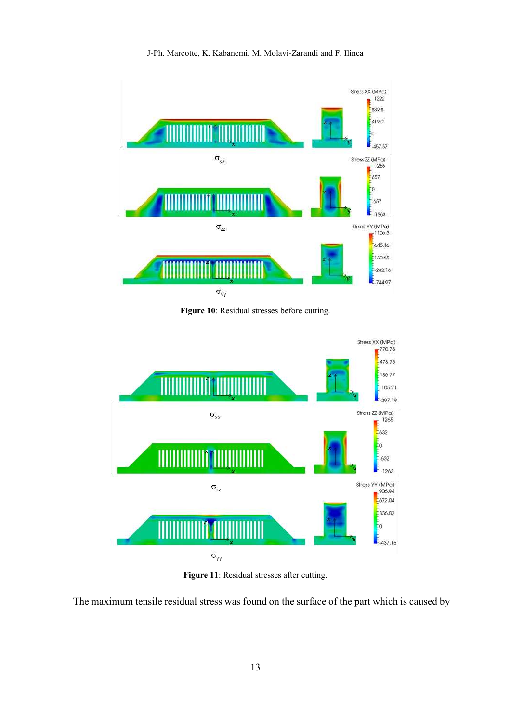

**Figure 10**: Residual stresses before cutting.



Figure 11: Residual stresses after cutting.

The maximum tensile residual stress was found on the surface of the part which is caused by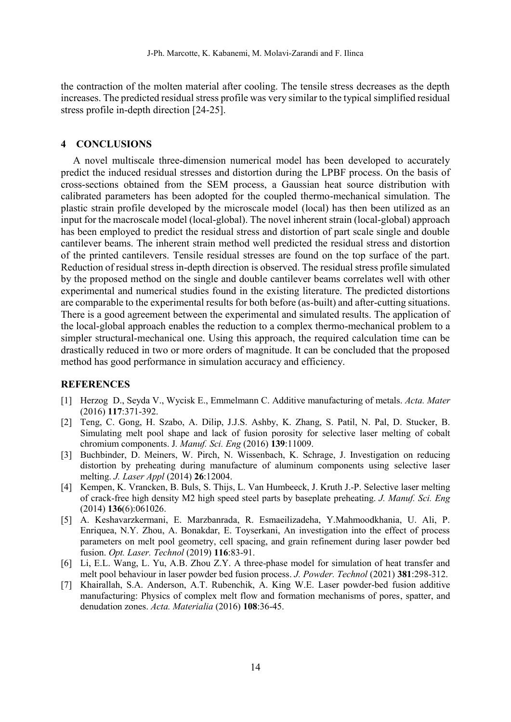the contraction of the molten material after cooling. The tensile stress decreases as the depth increases. The predicted residual stress profile was very similar to the typical simplified residual stress profile in-depth direction [24-25].

### **4 CONCLUSIONS**

A novel multiscale three-dimension numerical model has been developed to accurately predict the induced residual stresses and distortion during the LPBF process. On the basis of cross-sections obtained from the SEM process, a Gaussian heat source distribution with calibrated parameters has been adopted for the coupled thermo-mechanical simulation. The plastic strain profile developed by the microscale model (local) has then been utilized as an input for the macroscale model (local-global). The novel inherent strain (local-global) approach has been employed to predict the residual stress and distortion of part scale single and double cantilever beams. The inherent strain method well predicted the residual stress and distortion of the printed cantilevers. Tensile residual stresses are found on the top surface of the part. Reduction of residual stress in-depth direction is observed. The residual stress profile simulated by the proposed method on the single and double cantilever beams correlates well with other experimental and numerical studies found in the existing literature. The predicted distortions are comparable to the experimental results for both before (as-built) and after-cutting situations. There is a good agreement between the experimental and simulated results. The application of the local-global approach enables the reduction to a complex thermo-mechanical problem to a simpler structural-mechanical one. Using this approach, the required calculation time can be drastically reduced in two or more orders of magnitude. It can be concluded that the proposed method has good performance in simulation accuracy and efficiency.

#### **REFERENCES**

- [1] Herzog D., Seyda V., Wycisk E., Emmelmann C. Additive manufacturing of metals. *Acta. Mater* (2016) **117**:371-392.
- [2] Teng, C. Gong, H. Szabo, A. Dilip, J.J.S. Ashby, K. Zhang, S. Patil, N. Pal, D. Stucker, B. Simulating melt pool shape and lack of fusion porosity for selective laser melting of cobalt chromium components. J*. Manuf. Sci. Eng* (2016) **139**:11009.
- [3] Buchbinder, D. Meiners, W. Pirch, N. Wissenbach, K. Schrage, J. Investigation on reducing distortion by preheating during manufacture of aluminum components using selective laser melting. *J. Laser Appl* (2014) **26**:12004.
- [4] Kempen, K. Vrancken, B. Buls, S. Thijs, L. Van Humbeeck, J. Kruth J.-P. Selective laser melting of crack-free high density M2 high speed steel parts by baseplate preheating. *J. Manuf. Sci. Eng* (2014) **136**(6):061026.
- [5] A. Keshavarzkermani, E. Marzbanrada, R. Esmaeilizadeha, Y.Mahmoodkhania, U. Ali, P. Enriquea, N.Y. Zhou, A. Bonakdar, E. Toyserkani, An investigation into the effect of process parameters on melt pool geometry, cell spacing, and grain refinement during laser powder bed fusion. *Opt. Laser. Technol* (2019) **116**:83-91.
- [6] Li, E.L. Wang, L. Yu, A.B. Zhou Z.Y. A three-phase model for simulation of heat transfer and melt pool behaviour in laser powder bed fusion process. *J. Powder. Technol* (2021) **381**:298-312.
- [7] Khairallah, S.A. Anderson, A.T. Rubenchik, A. King W.E. Laser powder-bed fusion additive manufacturing: Physics of complex melt flow and formation mechanisms of pores, spatter, and denudation zones. *Acta. Materialia* (2016) **108**:36-45.